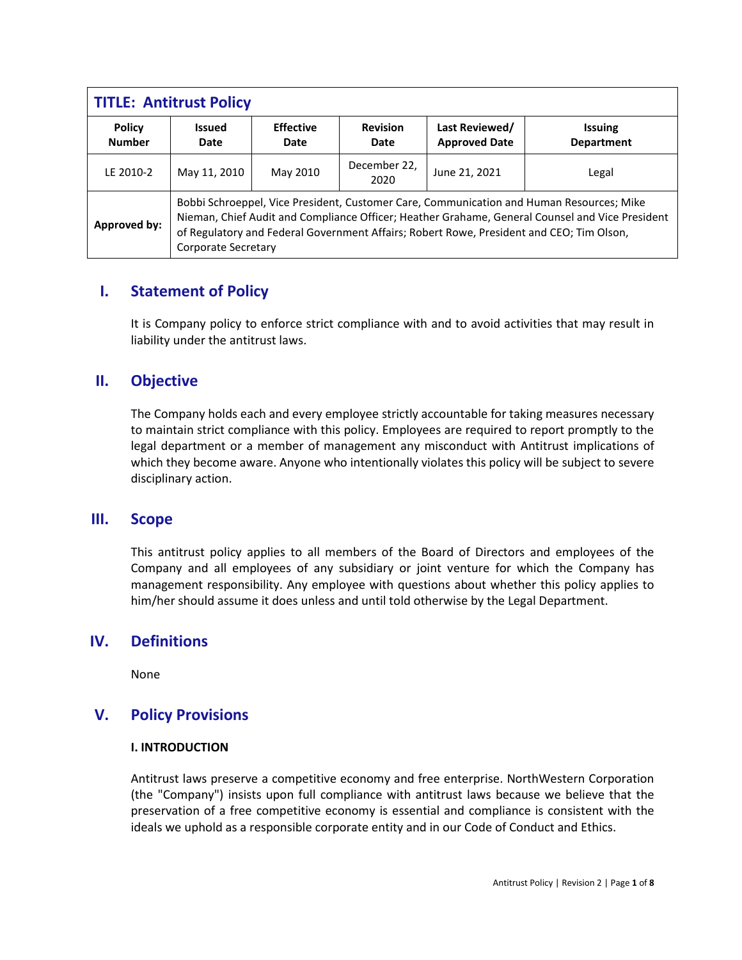| <b>TITLE: Antitrust Policy</b> |                                                                                                                                                                                                                                                                                                                |                          |                         |                                        |                                     |
|--------------------------------|----------------------------------------------------------------------------------------------------------------------------------------------------------------------------------------------------------------------------------------------------------------------------------------------------------------|--------------------------|-------------------------|----------------------------------------|-------------------------------------|
| <b>Policy</b><br><b>Number</b> | <b>Issued</b><br>Date                                                                                                                                                                                                                                                                                          | <b>Effective</b><br>Date | <b>Revision</b><br>Date | Last Reviewed/<br><b>Approved Date</b> | <b>Issuing</b><br><b>Department</b> |
| LE 2010-2                      | May 11, 2010                                                                                                                                                                                                                                                                                                   | May 2010                 | December 22,<br>2020    | June 21, 2021                          | Legal                               |
| <b>Approved by:</b>            | Bobbi Schroeppel, Vice President, Customer Care, Communication and Human Resources; Mike<br>Nieman, Chief Audit and Compliance Officer; Heather Grahame, General Counsel and Vice President<br>of Regulatory and Federal Government Affairs; Robert Rowe, President and CEO; Tim Olson,<br>Corporate Secretary |                          |                         |                                        |                                     |

# **I. Statement of Policy**

It is Company policy to enforce strict compliance with and to avoid activities that may result in liability under the antitrust laws.

# **II. Objective**

The Company holds each and every employee strictly accountable for taking measures necessary to maintain strict compliance with this policy. Employees are required to report promptly to the legal department or a member of management any misconduct with Antitrust implications of which they become aware. Anyone who intentionally violates this policy will be subject to severe disciplinary action.

## **III. Scope**

This antitrust policy applies to all members of the Board of Directors and employees of the Company and all employees of any subsidiary or joint venture for which the Company has management responsibility. Any employee with questions about whether this policy applies to him/her should assume it does unless and until told otherwise by the Legal Department.

## **IV. Definitions**

None

# **V. Policy Provisions**

#### **I. INTRODUCTION**

Antitrust laws preserve a competitive economy and free enterprise. NorthWestern Corporation (the "Company") insists upon full compliance with antitrust laws because we believe that the preservation of a free competitive economy is essential and compliance is consistent with the ideals we uphold as a responsible corporate entity and in our Code of Conduct and Ethics.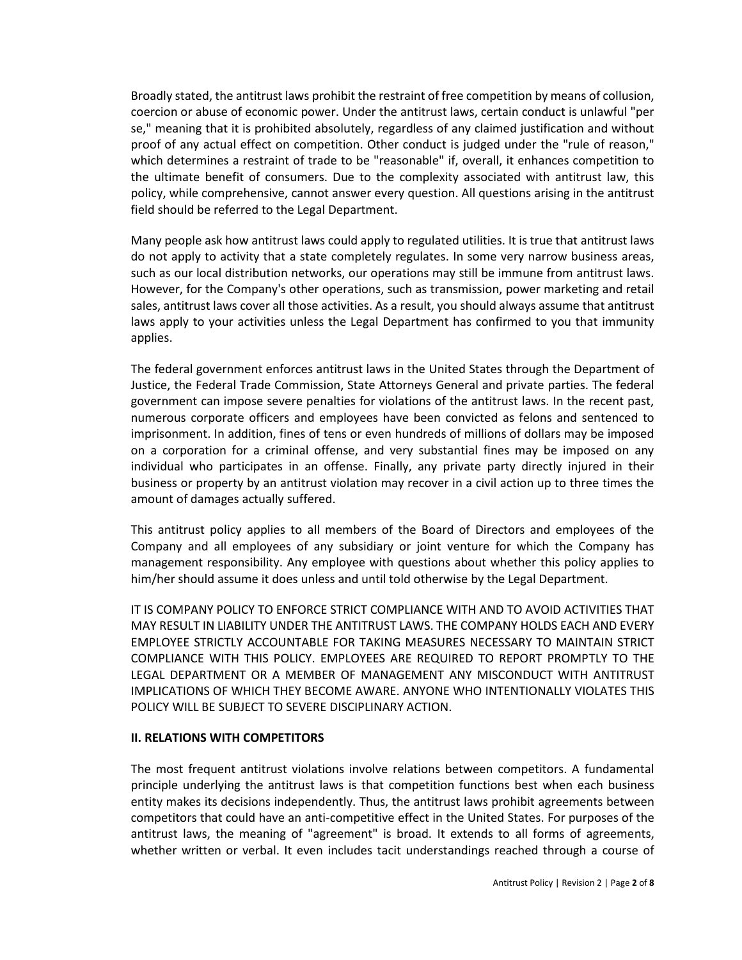Broadly stated, the antitrust laws prohibit the restraint of free competition by means of collusion, coercion or abuse of economic power. Under the antitrust laws, certain conduct is unlawful "per se," meaning that it is prohibited absolutely, regardless of any claimed justification and without proof of any actual effect on competition. Other conduct is judged under the "rule of reason," which determines a restraint of trade to be "reasonable" if, overall, it enhances competition to the ultimate benefit of consumers. Due to the complexity associated with antitrust law, this policy, while comprehensive, cannot answer every question. All questions arising in the antitrust field should be referred to the Legal Department.

Many people ask how antitrust laws could apply to regulated utilities. It is true that antitrust laws do not apply to activity that a state completely regulates. In some very narrow business areas, such as our local distribution networks, our operations may still be immune from antitrust laws. However, for the Company's other operations, such as transmission, power marketing and retail sales, antitrust laws cover all those activities. As a result, you should always assume that antitrust laws apply to your activities unless the Legal Department has confirmed to you that immunity applies.

The federal government enforces antitrust laws in the United States through the Department of Justice, the Federal Trade Commission, State Attorneys General and private parties. The federal government can impose severe penalties for violations of the antitrust laws. In the recent past, numerous corporate officers and employees have been convicted as felons and sentenced to imprisonment. In addition, fines of tens or even hundreds of millions of dollars may be imposed on a corporation for a criminal offense, and very substantial fines may be imposed on any individual who participates in an offense. Finally, any private party directly injured in their business or property by an antitrust violation may recover in a civil action up to three times the amount of damages actually suffered.

This antitrust policy applies to all members of the Board of Directors and employees of the Company and all employees of any subsidiary or joint venture for which the Company has management responsibility. Any employee with questions about whether this policy applies to him/her should assume it does unless and until told otherwise by the Legal Department.

IT IS COMPANY POLICY TO ENFORCE STRICT COMPLIANCE WITH AND TO AVOID ACTIVITIES THAT MAY RESULT IN LIABILITY UNDER THE ANTITRUST LAWS. THE COMPANY HOLDS EACH AND EVERY EMPLOYEE STRICTLY ACCOUNTABLE FOR TAKING MEASURES NECESSARY TO MAINTAIN STRICT COMPLIANCE WITH THIS POLICY. EMPLOYEES ARE REQUIRED TO REPORT PROMPTLY TO THE LEGAL DEPARTMENT OR A MEMBER OF MANAGEMENT ANY MISCONDUCT WITH ANTITRUST IMPLICATIONS OF WHICH THEY BECOME AWARE. ANYONE WHO INTENTIONALLY VIOLATES THIS POLICY WILL BE SUBJECT TO SEVERE DISCIPLINARY ACTION.

#### **II. RELATIONS WITH COMPETITORS**

The most frequent antitrust violations involve relations between competitors. A fundamental principle underlying the antitrust laws is that competition functions best when each business entity makes its decisions independently. Thus, the antitrust laws prohibit agreements between competitors that could have an anti-competitive effect in the United States. For purposes of the antitrust laws, the meaning of "agreement" is broad. It extends to all forms of agreements, whether written or verbal. It even includes tacit understandings reached through a course of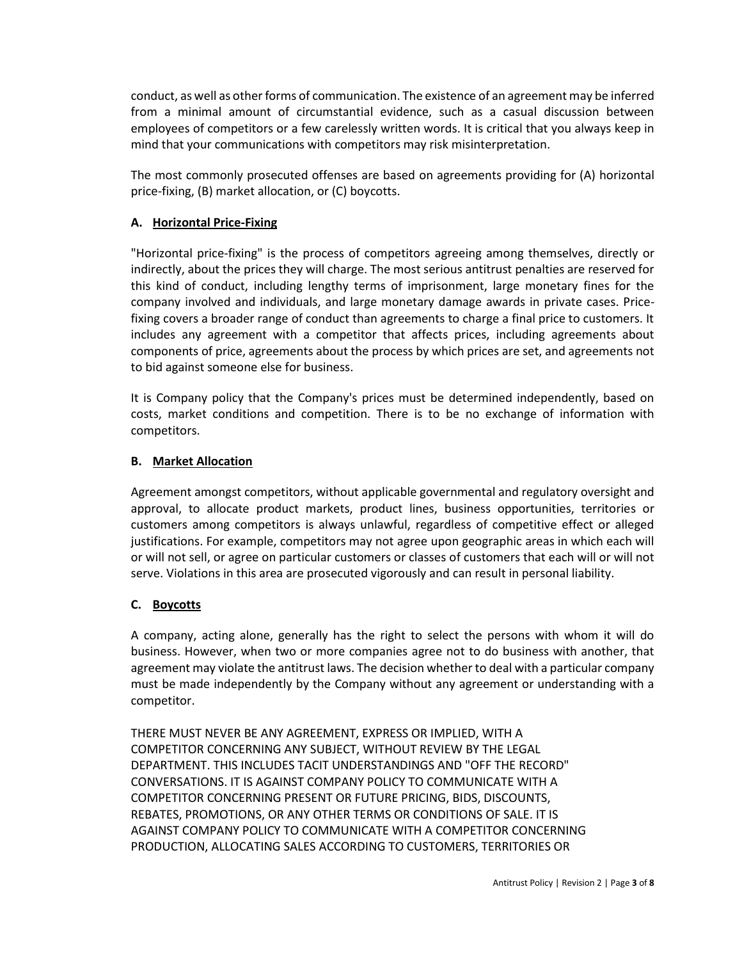conduct, as well as other forms of communication. The existence of an agreement may be inferred from a minimal amount of circumstantial evidence, such as a casual discussion between employees of competitors or a few carelessly written words. It is critical that you always keep in mind that your communications with competitors may risk misinterpretation.

The most commonly prosecuted offenses are based on agreements providing for (A) horizontal price-fixing, (B) market allocation, or (C) boycotts.

## **A. Horizontal Price-Fixing**

"Horizontal price-fixing" is the process of competitors agreeing among themselves, directly or indirectly, about the prices they will charge. The most serious antitrust penalties are reserved for this kind of conduct, including lengthy terms of imprisonment, large monetary fines for the company involved and individuals, and large monetary damage awards in private cases. Pricefixing covers a broader range of conduct than agreements to charge a final price to customers. It includes any agreement with a competitor that affects prices, including agreements about components of price, agreements about the process by which prices are set, and agreements not to bid against someone else for business.

It is Company policy that the Company's prices must be determined independently, based on costs, market conditions and competition. There is to be no exchange of information with competitors.

## **B. Market Allocation**

Agreement amongst competitors, without applicable governmental and regulatory oversight and approval, to allocate product markets, product lines, business opportunities, territories or customers among competitors is always unlawful, regardless of competitive effect or alleged justifications. For example, competitors may not agree upon geographic areas in which each will or will not sell, or agree on particular customers or classes of customers that each will or will not serve. Violations in this area are prosecuted vigorously and can result in personal liability.

## **C. Boycotts**

A company, acting alone, generally has the right to select the persons with whom it will do business. However, when two or more companies agree not to do business with another, that agreement may violate the antitrust laws. The decision whether to deal with a particular company must be made independently by the Company without any agreement or understanding with a competitor.

THERE MUST NEVER BE ANY AGREEMENT, EXPRESS OR IMPLIED, WITH A COMPETITOR CONCERNING ANY SUBJECT, WITHOUT REVIEW BY THE LEGAL DEPARTMENT. THIS INCLUDES TACIT UNDERSTANDINGS AND "OFF THE RECORD" CONVERSATIONS. IT IS AGAINST COMPANY POLICY TO COMMUNICATE WITH A COMPETITOR CONCERNING PRESENT OR FUTURE PRICING, BIDS, DISCOUNTS, REBATES, PROMOTIONS, OR ANY OTHER TERMS OR CONDITIONS OF SALE. IT IS AGAINST COMPANY POLICY TO COMMUNICATE WITH A COMPETITOR CONCERNING PRODUCTION, ALLOCATING SALES ACCORDING TO CUSTOMERS, TERRITORIES OR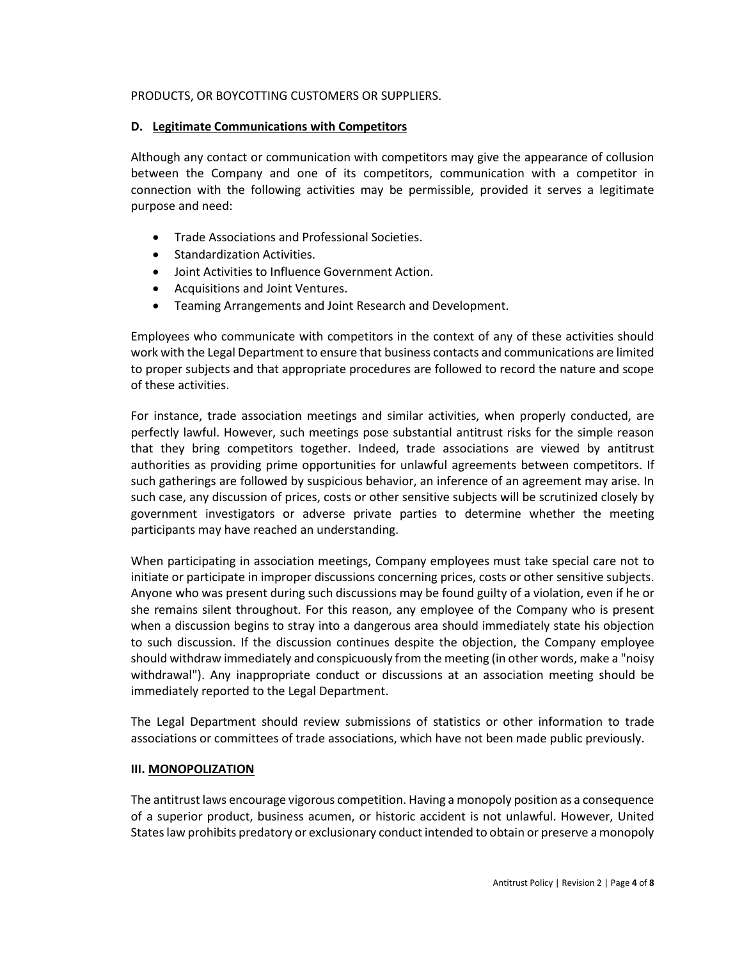#### PRODUCTS, OR BOYCOTTING CUSTOMERS OR SUPPLIERS.

#### **D. Legitimate Communications with Competitors**

Although any contact or communication with competitors may give the appearance of collusion between the Company and one of its competitors, communication with a competitor in connection with the following activities may be permissible, provided it serves a legitimate purpose and need:

- Trade Associations and Professional Societies.
- Standardization Activities.
- Joint Activities to Influence Government Action.
- Acquisitions and Joint Ventures.
- Teaming Arrangements and Joint Research and Development.

Employees who communicate with competitors in the context of any of these activities should work with the Legal Department to ensure that business contacts and communications are limited to proper subjects and that appropriate procedures are followed to record the nature and scope of these activities.

For instance, trade association meetings and similar activities, when properly conducted, are perfectly lawful. However, such meetings pose substantial antitrust risks for the simple reason that they bring competitors together. Indeed, trade associations are viewed by antitrust authorities as providing prime opportunities for unlawful agreements between competitors. If such gatherings are followed by suspicious behavior, an inference of an agreement may arise. In such case, any discussion of prices, costs or other sensitive subjects will be scrutinized closely by government investigators or adverse private parties to determine whether the meeting participants may have reached an understanding.

When participating in association meetings, Company employees must take special care not to initiate or participate in improper discussions concerning prices, costs or other sensitive subjects. Anyone who was present during such discussions may be found guilty of a violation, even if he or she remains silent throughout. For this reason, any employee of the Company who is present when a discussion begins to stray into a dangerous area should immediately state his objection to such discussion. If the discussion continues despite the objection, the Company employee should withdraw immediately and conspicuously from the meeting (in other words, make a "noisy withdrawal"). Any inappropriate conduct or discussions at an association meeting should be immediately reported to the Legal Department.

The Legal Department should review submissions of statistics or other information to trade associations or committees of trade associations, which have not been made public previously.

#### **III. MONOPOLIZATION**

The antitrust laws encourage vigorous competition. Having a monopoly position as a consequence of a superior product, business acumen, or historic accident is not unlawful. However, United States law prohibits predatory or exclusionary conduct intended to obtain or preserve a monopoly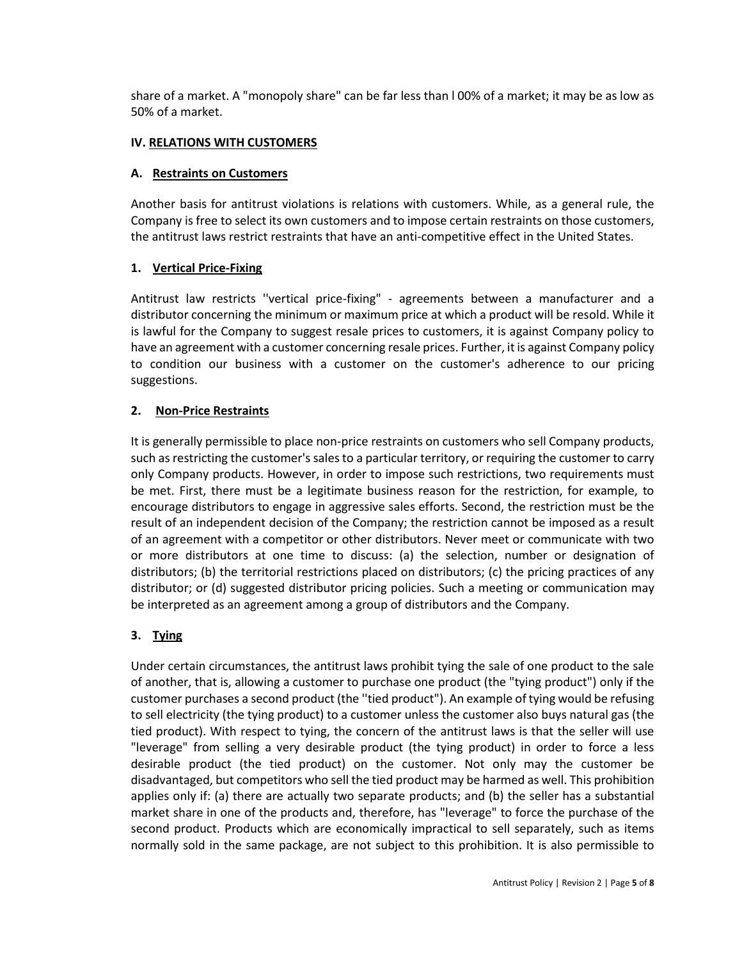share of a market. A "monopoly share" can be far less than l 00% of a market; it may be as low as 50% of a market.

## **IV. RELATIONS WITH CUSTOMERS**

#### **A. Restraints on Customers**

Another basis for antitrust violations is relations with customers. While, as a general rule, the Company is free to select its own customers and to impose certain restraints on those customers, the antitrust laws restrict restraints that have an anti-competitive effect in the United States.

## **1. Vertical Price-Fixing**

Antitrust law restricts ''vertical price-fixing" - agreements between a manufacturer and a distributor concerning the minimum or maximum price at which a product will be resold. While it is lawful for the Company to suggest resale prices to customers, it is against Company policy to have an agreement with a customer concerning resale prices. Further, it is against Company policy to condition our business with a customer on the customer's adherence to our pricing suggestions.

## **2. Non-Price Restraints**

It is generally permissible to place non-price restraints on customers who sell Company products, such as restricting the customer's sales to a particular territory, or requiring the customer to carry only Company products. However, in order to impose such restrictions, two requirements must be met. First, there must be a legitimate business reason for the restriction, for example, to encourage distributors to engage in aggressive sales efforts. Second, the restriction must be the result of an independent decision of the Company; the restriction cannot be imposed as a result of an agreement with a competitor or other distributors. Never meet or communicate with two or more distributors at one time to discuss: (a) the selection, number or designation of distributors; (b) the territorial restrictions placed on distributors; (c) the pricing practices of any distributor; or (d) suggested distributor pricing policies. Such a meeting or communication may be interpreted as an agreement among a group of distributors and the Company.

## **3. Tying**

Under certain circumstances, the antitrust laws prohibit tying the sale of one product to the sale of another, that is, allowing a customer to purchase one product (the "tying product") only if the customer purchases a second product (the ''tied product"). An example of tying would be refusing to sell electricity (the tying product) to a customer unless the customer also buys natural gas (the tied product). With respect to tying, the concern of the antitrust laws is that the seller will use "leverage" from selling a very desirable product (the tying product) in order to force a less desirable product (the tied product) on the customer. Not only may the customer be disadvantaged, but competitors who sell the tied product may be harmed as well. This prohibition applies only if: (a) there are actually two separate products; and (b) the seller has a substantial market share in one of the products and, therefore, has "leverage" to force the purchase of the second product. Products which are economically impractical to sell separately, such as items normally sold in the same package, are not subject to this prohibition. It is also permissible to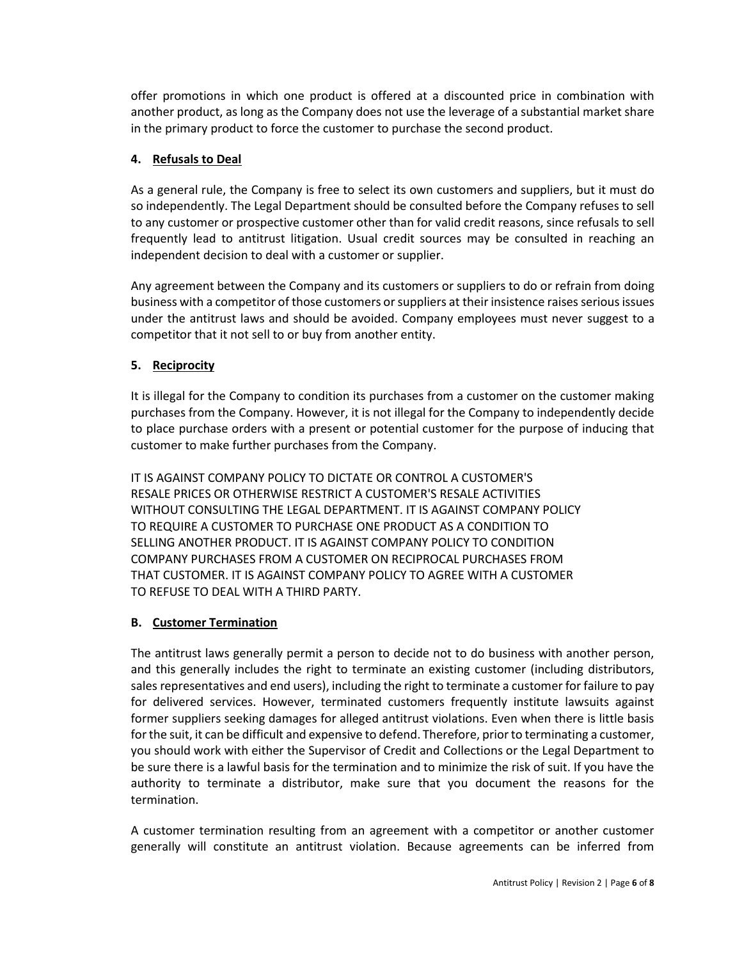offer promotions in which one product is offered at a discounted price in combination with another product, as long as the Company does not use the leverage of a substantial market share in the primary product to force the customer to purchase the second product.

## **4. Refusals to Deal**

As a general rule, the Company is free to select its own customers and suppliers, but it must do so independently. The Legal Department should be consulted before the Company refuses to sell to any customer or prospective customer other than for valid credit reasons, since refusals to sell frequently lead to antitrust litigation. Usual credit sources may be consulted in reaching an independent decision to deal with a customer or supplier.

Any agreement between the Company and its customers or suppliers to do or refrain from doing business with a competitor of those customers or suppliers at their insistence raises serious issues under the antitrust laws and should be avoided. Company employees must never suggest to a competitor that it not sell to or buy from another entity.

## **5. Reciprocity**

It is illegal for the Company to condition its purchases from a customer on the customer making purchases from the Company. However, it is not illegal for the Company to independently decide to place purchase orders with a present or potential customer for the purpose of inducing that customer to make further purchases from the Company.

IT IS AGAINST COMPANY POLICY TO DICTATE OR CONTROL A CUSTOMER'S RESALE PRICES OR OTHERWISE RESTRICT A CUSTOMER'S RESALE ACTIVITIES WITHOUT CONSULTING THE LEGAL DEPARTMENT. IT IS AGAINST COMPANY POLICY TO REQUIRE A CUSTOMER TO PURCHASE ONE PRODUCT AS A CONDITION TO SELLING ANOTHER PRODUCT. IT IS AGAINST COMPANY POLICY TO CONDITION COMPANY PURCHASES FROM A CUSTOMER ON RECIPROCAL PURCHASES FROM THAT CUSTOMER. IT IS AGAINST COMPANY POLICY TO AGREE WITH A CUSTOMER TO REFUSE TO DEAL WITH A THIRD PARTY.

#### **B. Customer Termination**

The antitrust laws generally permit a person to decide not to do business with another person, and this generally includes the right to terminate an existing customer (including distributors, sales representatives and end users), including the right to terminate a customer for failure to pay for delivered services. However, terminated customers frequently institute lawsuits against former suppliers seeking damages for alleged antitrust violations. Even when there is little basis for the suit, it can be difficult and expensive to defend. Therefore, prior to terminating a customer, you should work with either the Supervisor of Credit and Collections or the Legal Department to be sure there is a lawful basis for the termination and to minimize the risk of suit. If you have the authority to terminate a distributor, make sure that you document the reasons for the termination.

A customer termination resulting from an agreement with a competitor or another customer generally will constitute an antitrust violation. Because agreements can be inferred from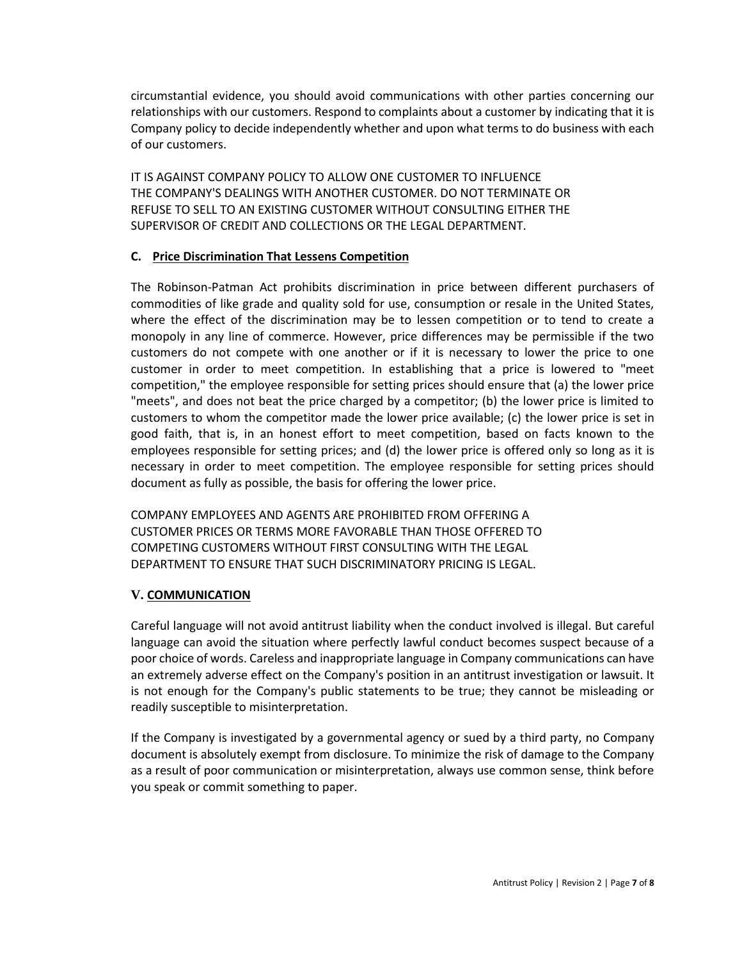circumstantial evidence, you should avoid communications with other parties concerning our relationships with our customers. Respond to complaints about a customer by indicating that it is Company policy to decide independently whether and upon what terms to do business with each of our customers.

IT IS AGAINST COMPANY POLICY TO ALLOW ONE CUSTOMER TO INFLUENCE THE COMPANY'S DEALINGS WITH ANOTHER CUSTOMER. DO NOT TERMINATE OR REFUSE TO SELL TO AN EXISTING CUSTOMER WITHOUT CONSULTING EITHER THE SUPERVISOR OF CREDIT AND COLLECTIONS OR THE LEGAL DEPARTMENT.

#### **C. Price Discrimination That Lessens Competition**

The Robinson-Patman Act prohibits discrimination in price between different purchasers of commodities of like grade and quality sold for use, consumption or resale in the United States, where the effect of the discrimination may be to lessen competition or to tend to create a monopoly in any line of commerce. However, price differences may be permissible if the two customers do not compete with one another or if it is necessary to lower the price to one customer in order to meet competition. In establishing that a price is lowered to "meet competition," the employee responsible for setting prices should ensure that (a) the lower price "meets", and does not beat the price charged by a competitor; (b) the lower price is limited to customers to whom the competitor made the lower price available; (c) the lower price is set in good faith, that is, in an honest effort to meet competition, based on facts known to the employees responsible for setting prices; and (d) the lower price is offered only so long as it is necessary in order to meet competition. The employee responsible for setting prices should document as fully as possible, the basis for offering the lower price.

COMPANY EMPLOYEES AND AGENTS ARE PROHIBITED FROM OFFERING A CUSTOMER PRICES OR TERMS MORE FAVORABLE THAN THOSE OFFERED TO COMPETING CUSTOMERS WITHOUT FIRST CONSULTING WITH THE LEGAL DEPARTMENT TO ENSURE THAT SUCH DISCRIMINATORY PRICING IS LEGAL.

#### **V. COMMUNICATION**

Careful language will not avoid antitrust liability when the conduct involved is illegal. But careful language can avoid the situation where perfectly lawful conduct becomes suspect because of a poor choice of words. Careless and inappropriate language in Company communications can have an extremely adverse effect on the Company's position in an antitrust investigation or lawsuit. It is not enough for the Company's public statements to be true; they cannot be misleading or readily susceptible to misinterpretation.

If the Company is investigated by a governmental agency or sued by a third party, no Company document is absolutely exempt from disclosure. To minimize the risk of damage to the Company as a result of poor communication or misinterpretation, always use common sense, think before you speak or commit something to paper.